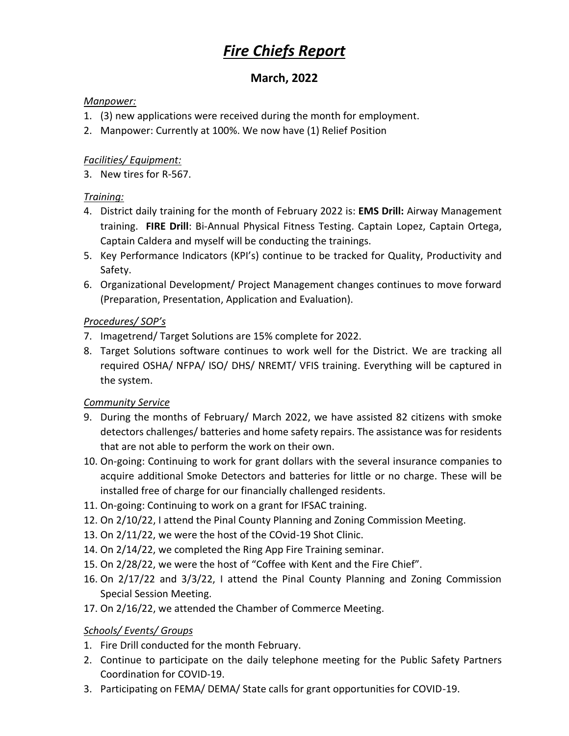# *Fire Chiefs Report*

## **March, 2022**

#### *Manpower:*

- 1. (3) new applications were received during the month for employment.
- 2. Manpower: Currently at 100%. We now have (1) Relief Position

#### *Facilities/ Equipment:*

3. New tires for R-567.

## *Training:*

- 4. District daily training for the month of February 2022 is: **EMS Drill:** Airway Management training. **FIRE Drill**: Bi-Annual Physical Fitness Testing. Captain Lopez, Captain Ortega, Captain Caldera and myself will be conducting the trainings.
- 5. Key Performance Indicators (KPI's) continue to be tracked for Quality, Productivity and Safety.
- 6. Organizational Development/ Project Management changes continues to move forward (Preparation, Presentation, Application and Evaluation).

## *Procedures/ SOP's*

- 7. Imagetrend/ Target Solutions are 15% complete for 2022.
- 8. Target Solutions software continues to work well for the District. We are tracking all required OSHA/ NFPA/ ISO/ DHS/ NREMT/ VFIS training. Everything will be captured in the system.

#### *Community Service*

- 9. During the months of February/ March 2022, we have assisted 82 citizens with smoke detectors challenges/ batteries and home safety repairs. The assistance was for residents that are not able to perform the work on their own.
- 10. On-going: Continuing to work for grant dollars with the several insurance companies to acquire additional Smoke Detectors and batteries for little or no charge. These will be installed free of charge for our financially challenged residents.
- 11. On-going: Continuing to work on a grant for IFSAC training.
- 12. On 2/10/22, I attend the Pinal County Planning and Zoning Commission Meeting.
- 13. On 2/11/22, we were the host of the COvid-19 Shot Clinic.
- 14. On 2/14/22, we completed the Ring App Fire Training seminar.
- 15. On 2/28/22, we were the host of "Coffee with Kent and the Fire Chief".
- 16. On 2/17/22 and 3/3/22, I attend the Pinal County Planning and Zoning Commission Special Session Meeting.
- 17. On 2/16/22, we attended the Chamber of Commerce Meeting.

## *Schools/ Events/ Groups*

- 1. Fire Drill conducted for the month February.
- 2. Continue to participate on the daily telephone meeting for the Public Safety Partners Coordination for COVID-19.
- 3. Participating on FEMA/ DEMA/ State calls for grant opportunities for COVID-19.